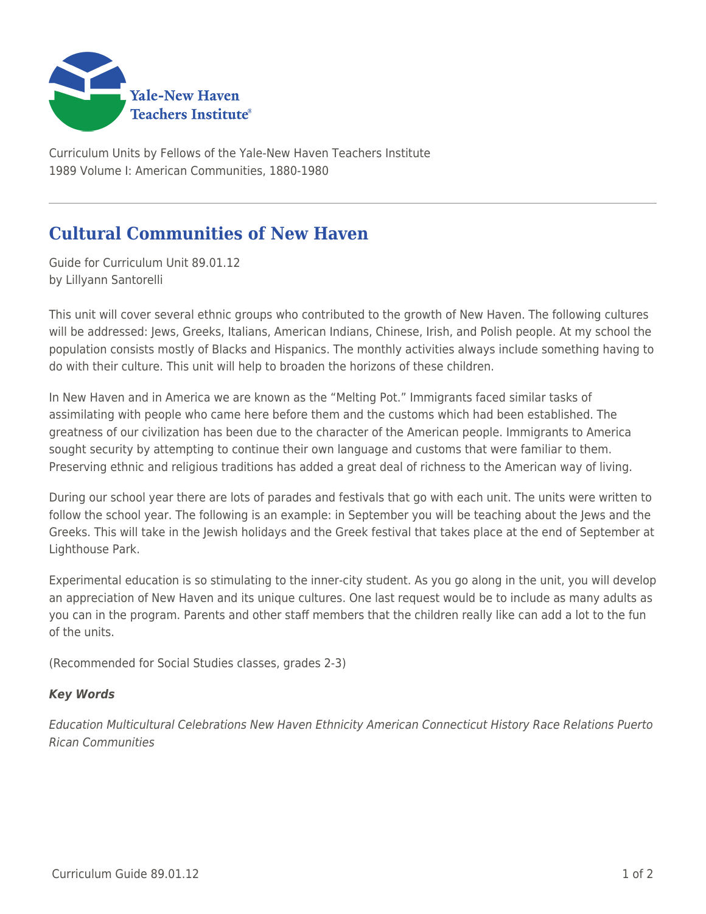

Curriculum Units by Fellows of the Yale-New Haven Teachers Institute 1989 Volume I: American Communities, 1880-1980

## **Cultural Communities of New Haven**

Guide for Curriculum Unit 89.01.12 by Lillyann Santorelli

This unit will cover several ethnic groups who contributed to the growth of New Haven. The following cultures will be addressed: Jews, Greeks, Italians, American Indians, Chinese, Irish, and Polish people. At my school the population consists mostly of Blacks and Hispanics. The monthly activities always include something having to do with their culture. This unit will help to broaden the horizons of these children.

In New Haven and in America we are known as the "Melting Pot." Immigrants faced similar tasks of assimilating with people who came here before them and the customs which had been established. The greatness of our civilization has been due to the character of the American people. Immigrants to America sought security by attempting to continue their own language and customs that were familiar to them. Preserving ethnic and religious traditions has added a great deal of richness to the American way of living.

During our school year there are lots of parades and festivals that go with each unit. The units were written to follow the school year. The following is an example: in September you will be teaching about the Jews and the Greeks. This will take in the Jewish holidays and the Greek festival that takes place at the end of September at Lighthouse Park.

Experimental education is so stimulating to the inner-city student. As you go along in the unit, you will develop an appreciation of New Haven and its unique cultures. One last request would be to include as many adults as you can in the program. Parents and other staff members that the children really like can add a lot to the fun of the units.

(Recommended for Social Studies classes, grades 2-3)

## *Key Words*

Education Multicultural Celebrations New Haven Ethnicity American Connecticut History Race Relations Puerto Rican Communities